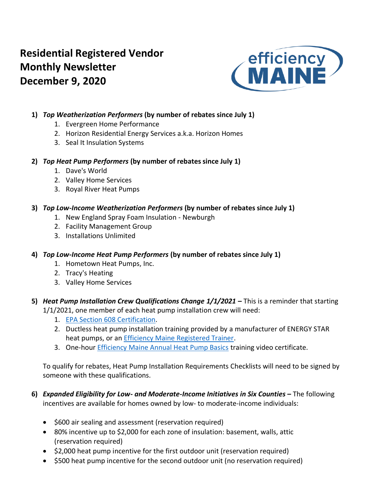# **Residential Registered Vendor Monthly Newsletter December 9, 2020**



## **1)** *Top Weatherization Performers* **(by number of rebates since July 1)**

- 1. Evergreen Home Performance
- 2. Horizon Residential Energy Services a.k.a. Horizon Homes
- 3. Seal It Insulation Systems

## **2)** *Top Heat Pump Performers* **(by number of rebates since July 1)**

- 1. Dave's World
- 2. Valley Home Services
- 3. Royal River Heat Pumps

## **3)** *Top Low-Income Weatherization Performers* **(by number of rebates since July 1)**

- 1. New England Spray Foam Insulation Newburgh
- 2. Facility Management Group
- 3. Installations Unlimited

## **4)** *Top Low-Income Heat Pump Performers* **(by number of rebates since July 1)**

- 1. Hometown Heat Pumps, Inc.
- 2. Tracy's Heating
- 3. Valley Home Services
- **5)** *Heat Pump Installation Crew Qualifications Change 1/1/2021* **–** This is a reminder that starting 1/1/2021, one member of each heat pump installation crew will need:
	- 1. [EPA Section 608 Certification.](https://www.epa.gov/section608/section-608-technician-certification-0)
	- 2. Ductless heat pump installation training provided by a manufacturer of ENERGY STAR heat pumps, or an [Efficiency Maine Registered Trainer.](https://www.efficiencymaine.com/professional-training/)
	- 3. One-hour **Efficiency Maine Annual Heat Pump Basics** training video certificate.

To qualify for rebates, Heat Pump Installation Requirements Checklists will need to be signed by someone with these qualifications.

- **6)** *Expanded Eligibility for Low- and Moderate-Income Initiatives in Six Counties* **–** The following incentives are available for homes owned by low- to moderate-income individuals:
	- \$600 air sealing and assessment (reservation required)
	- 80% incentive up to \$2,000 for each zone of insulation: basement, walls, attic (reservation required)
	- \$2,000 heat pump incentive for the first outdoor unit (reservation required)
	- \$500 heat pump incentive for the second outdoor unit (no reservation required)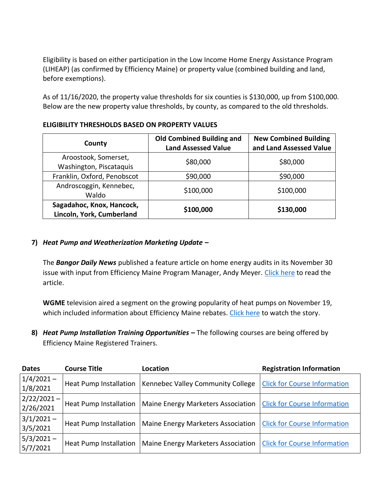Eligibility is based on either participation in the Low Income Home Energy Assistance Program (LIHEAP) (as confirmed by Efficiency Maine) or property value (combined building and land, before exemptions).

As of 11/16/2020, the property value thresholds for six counties is \$130,000, up from \$100,000. Below are the new property value thresholds, by county, as compared to the old thresholds.

| County                                                 | <b>Old Combined Building and</b><br><b>Land Assessed Value</b> | <b>New Combined Building</b><br>and Land Assessed Value |  |  |  |  |
|--------------------------------------------------------|----------------------------------------------------------------|---------------------------------------------------------|--|--|--|--|
| Aroostook, Somerset,<br>Washington, Piscataquis        | \$80,000                                                       | \$80,000                                                |  |  |  |  |
| Franklin, Oxford, Penobscot                            | \$90,000                                                       | \$90,000                                                |  |  |  |  |
| Androscoggin, Kennebec,<br>Waldo                       | \$100,000                                                      | \$100,000                                               |  |  |  |  |
| Sagadahoc, Knox, Hancock,<br>Lincoln, York, Cumberland | \$100,000                                                      | \$130,000                                               |  |  |  |  |

#### **ELIGIBILITY THRESHOLDS BASED ON PROPERTY VALUES**

#### **7)** *Heat Pump and Weatherization Marketing Update –*

The *Bangor Daily News* published a feature article on home energy audits in its November 30 issue with input from Efficiency Maine Program Manager, Andy Meyer. [Click here](https://bangordailynews.com/2020/11/30/homestead/home-energy-audits-help-homeowners-save-money/) to read the article.

**WGME** television aired a segment on the growing popularity of heat pumps on November 19, which included information about Efficiency Maine rebates. [Click here](https://wgme.com/features/real-estate-report/heat-pumps-growing-more-popular-in-maine) to watch the story.

**8)** *Heat Pump Installation Training Opportunities* **–** The following courses are being offered by Efficiency Maine Registered Trainers.

| <b>Dates</b>                  | <b>Course Title</b>           | Location                           | <b>Registration Information</b>     |
|-------------------------------|-------------------------------|------------------------------------|-------------------------------------|
| $1/4/2021 -$<br>1/8/2021      | Heat Pump Installation        | Kennebec Valley Community College  | <b>Click for Course Information</b> |
| $ 2/22/2021 -  $<br>2/26/2021 | <b>Heat Pump Installation</b> | Maine Energy Marketers Association | <b>Click for Course Information</b> |
| $3/1/2021 -$<br>3/5/2021      | <b>Heat Pump Installation</b> | Maine Energy Marketers Association | <b>Click for Course Information</b> |
| $5/3/2021 -$<br>5/7/2021      | <b>Heat Pump Installation</b> | Maine Energy Marketers Association | <b>Click for Course Information</b> |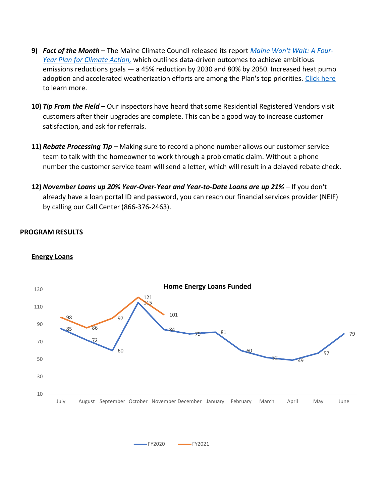- **9)** *Fact of the Month* **–** The Maine Climate Council released its report *[Maine Won't Wait: A Four-](https://climatecouncil.maine.gov/future/sites/maine.gov.future/files/inline-files/MaineWontWait_December2020.pdf)[Year Plan for Climate Action,](https://climatecouncil.maine.gov/future/sites/maine.gov.future/files/inline-files/MaineWontWait_December2020.pdf)* which outlines data-driven outcomes to achieve ambitious emissions reductions goals — a 45% reduction by 2030 and 80% by 2050. Increased heat pump adoption and accelerated weatherization efforts are among the Plan's top priorities. [Click here](https://climatecouncil.maine.gov/future/sites/maine.gov.future/files/inline-files/MaineWontWait_December2020.pdf) to learn more.
- **10)** *Tip From the Field –* Our inspectors have heard that some Residential Registered Vendors visit customers after their upgrades are complete. This can be a good way to increase customer satisfaction, and ask for referrals.
- **11)** *Rebate Processing Tip –* Making sure to record a phone number allows our customer service team to talk with the homeowner to work through a problematic claim. Without a phone number the customer service team will send a letter, which will result in a delayed rebate check.
- **12)** *November Loans up 20% Year-Over-Year and Year-to-Date Loans are up 21% –* If you don't already have a loan portal ID and password, you can reach our financial services provider (NEIF) by calling our Call Center (866-376-2463).

#### **PROGRAM RESULTS**



#### **Energy Loans**

FY2020 FY2021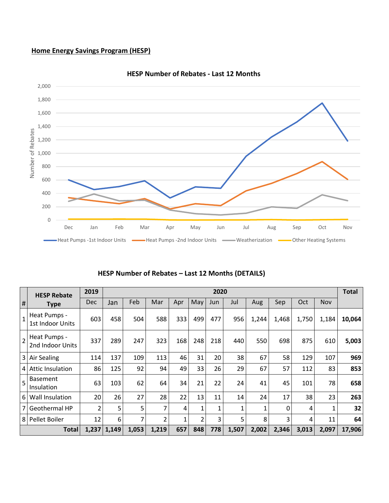## **Home Energy Savings Program (HESP)**



**HESP Number of Rebates - Last 12 Months**

|  |  | HESP Number of Rebates - Last 12 Months (DETAILS) |  |  |  |
|--|--|---------------------------------------------------|--|--|--|
|--|--|---------------------------------------------------|--|--|--|

|                | <b>HESP Rebate</b>               | 2019           |               | 2020  |       |     |                |     |       |       |       |       | <b>Total</b> |        |
|----------------|----------------------------------|----------------|---------------|-------|-------|-----|----------------|-----|-------|-------|-------|-------|--------------|--------|
| #              | <b>Type</b>                      | <b>Dec</b>     | Jan           | Feb   | Mar   | Apr | May            | Jun | Jul   | Aug   | Sep   | Oct   | Nov          |        |
| $\mathbf{1}$   | Heat Pumps -<br>1st Indoor Units | 603            | 458           | 504   | 588   | 333 | 499            | 477 | 956   | 1,244 | 1,468 | 1,750 | 1,184        | 10,064 |
| $\overline{2}$ | Heat Pumps -<br>2nd Indoor Units | 337            | 289           | 247   | 323   | 168 | 248            | 218 | 440   | 550   | 698   | 875   | 610          | 5,003  |
| 3              | Air Sealing                      | 114            | 137           | 109   | 113   | 46  | 31             | 20  | 38    | 67    | 58    | 129   | 107          | 969    |
| 4              | <b>Attic Insulation</b>          | 86             | 125           | 92    | 94    | 49  | 33             | 26  | 29    | 67    | 57    | 112   | 83           | 853    |
| 5              | <b>Basement</b><br>Insulation    | 63             | 103           | 62    | 64    | 34  | 21             | 22  | 24    | 41    | 45    | 101   | 78           | 658    |
| 6              | Wall Insulation                  | 20             | 26            | 27    | 28    | 22  | 13             | 11  | 14    | 24    | 17    | 38    | 23           | 263    |
| 7 <sub>1</sub> | Geothermal HP                    | $\overline{2}$ | 5             | 5     | 7     | 4   | 1              | 1   | 1     |       | 0     | 4     | 1            | 32     |
| 8              | Pellet Boiler                    | 12             | 6             | 7     | 2     |     | $\overline{2}$ | 3   | 5     | 8     | 3     | 4     | 11           | 64     |
|                | <b>Total</b>                     |                | $1,237$ 1,149 | 1,053 | 1,219 | 657 | 848            | 778 | 1,507 | 2,002 | 2,346 | 3,013 | 2,097        | 17,906 |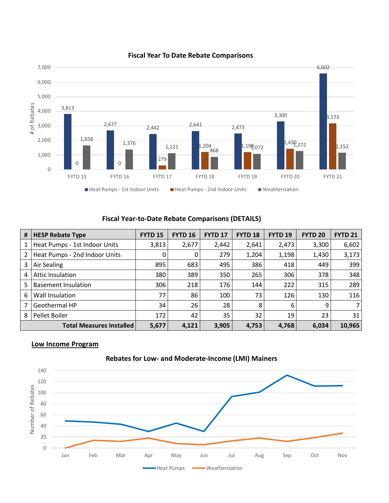

#### **Fiscal Year To Date Rebate Comparisons**

## **Fiscal Year-to-Date Rebate Comparisons (DETAILS)**

| #              | <b>HESP Rebate Type</b>         | <b>FYTD 15</b> | <b>FYTD 16</b> | <b>FYTD 17</b> | <b>FYTD 18</b> | FYTD <sub>19</sub> | <b>FYTD 20</b> | <b>FYTD 21</b> |
|----------------|---------------------------------|----------------|----------------|----------------|----------------|--------------------|----------------|----------------|
| 1              | Heat Pumps - 1st Indoor Units   | 3,813          | 2,677          | 2,442          | 2,641          | 2,473              | 3,300          | 6,602          |
| $\overline{2}$ | Heat Pumps - 2nd Indoor Units   | 0              | 0              | 279            | 1,204          | 1,198              | 1,430          | 3,173          |
| 3              | Air Sealing                     | 895            | 683            | 495            | 386            | 418                | 449            | 399            |
| 4              | Attic Insulation                | 380            | 389            | 350            | 265            | 306                | 378            | 348            |
| 5              | <b>Basement Insulation</b>      | 306            | 218            | 176            | 144            | 222                | 315            | 289            |
| 6              | Wall Insulation                 | 77             | 86             | 100            | 73             | 126                | 130            | 116            |
|                | Geothermal HP                   | 34             | 26             | 28             | 8              | 6                  | 9              |                |
| 8              | Pellet Boiler                   | 172            | 42             | 35             | 32             | 19                 | 23             | 31             |
|                | <b>Total Measures Installed</b> | 5,677          | 4,121          | 3,905          | 4,753          | 4,768              | 6,034          | 10,965         |

#### **Low Income Program**



## **Rebates for Low- and Moderate-Income (LMI) Mainers**